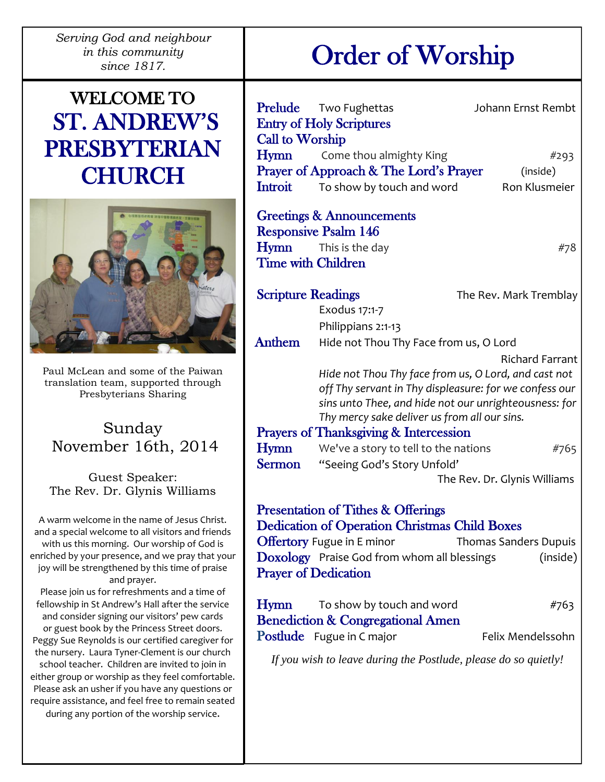*Serving God and neighbour in this community* 

WELCOME TO ST. ANDREW'S PRESBYTERIAN **CHURCH** 



Paul McLean and some of the Paiwan translation team, supported through Presbyterians Sharing

# Sunday November 16th, 2014

Guest Speaker: The Rev. Dr. Glynis Williams

A warm welcome in the name of Jesus Christ. and a special welcome to all visitors and friends with us this morning. Our worship of God is enriched by your presence, and we pray that your joy will be strengthened by this time of praise and prayer.

Please join us for refreshments and a time of fellowship in St Andrew's Hall after the service and consider signing our visitors' pew cards or guest book by the Princess Street doors. Peggy Sue Reynolds is our certified caregiver for the nursery. Laura Tyner-Clement is our church school teacher. Children are invited to join in either group or worship as they feel comfortable. Please ask an usher if you have any questions or require assistance, and feel free to remain seated during any portion of the worship service.

# *since 1817.* **Cance 1817. Cance 1817. Conventing System Convertse Convention**

| Prelude<br>Call to Worship<br>Hymn                                                                                                                                                                                                                                   | Two Fughettas<br><b>Entry of Holy Scriptures</b><br>Come thou almighty King                                                                                                                                                                                                                            | Johann Ernst Rembt<br>#293   |
|----------------------------------------------------------------------------------------------------------------------------------------------------------------------------------------------------------------------------------------------------------------------|--------------------------------------------------------------------------------------------------------------------------------------------------------------------------------------------------------------------------------------------------------------------------------------------------------|------------------------------|
| <b>Introit</b>                                                                                                                                                                                                                                                       | Prayer of Approach & The Lord's Prayer<br>To show by touch and word                                                                                                                                                                                                                                    | (inside)<br>Ron Klusmeier    |
|                                                                                                                                                                                                                                                                      |                                                                                                                                                                                                                                                                                                        |                              |
| <b>Greetings &amp; Announcements</b>                                                                                                                                                                                                                                 |                                                                                                                                                                                                                                                                                                        |                              |
|                                                                                                                                                                                                                                                                      | <b>Responsive Psalm 146</b>                                                                                                                                                                                                                                                                            |                              |
|                                                                                                                                                                                                                                                                      | <b>Hymn</b> This is the day                                                                                                                                                                                                                                                                            | #78                          |
| <b>Time with Children</b>                                                                                                                                                                                                                                            |                                                                                                                                                                                                                                                                                                        |                              |
| <b>Scripture Readings</b>                                                                                                                                                                                                                                            |                                                                                                                                                                                                                                                                                                        | The Rev. Mark Tremblay       |
|                                                                                                                                                                                                                                                                      | Exodus 17:1-7                                                                                                                                                                                                                                                                                          |                              |
|                                                                                                                                                                                                                                                                      | Philippians 2:1-13                                                                                                                                                                                                                                                                                     |                              |
| Anthem                                                                                                                                                                                                                                                               | Hide not Thou Thy Face from us, O Lord                                                                                                                                                                                                                                                                 |                              |
|                                                                                                                                                                                                                                                                      | <b>Richard Farrant</b><br>Hide not Thou Thy face from us, O Lord, and cast not<br>off Thy servant in Thy displeasure: for we confess our<br>sins unto Thee, and hide not our unrighteousness: for<br>Thy mercy sake deliver us from all our sins.<br><b>Prayers of Thanksgiving &amp; Intercession</b> |                              |
| Hymn                                                                                                                                                                                                                                                                 | We've a story to tell to the nations                                                                                                                                                                                                                                                                   | #765                         |
| <b>Sermon</b>                                                                                                                                                                                                                                                        | "Seeing God's Story Unfold'                                                                                                                                                                                                                                                                            |                              |
|                                                                                                                                                                                                                                                                      |                                                                                                                                                                                                                                                                                                        | The Rev. Dr. Glynis Williams |
| <b>Presentation of Tithes &amp; Offerings</b><br><b>Dedication of Operation Christmas Child Boxes</b><br><b>Offertory</b> Fugue in E minor<br><b>Thomas Sanders Dupuis</b><br>Doxology Praise God from whom all blessings<br>(inside)<br><b>Prayer of Dedication</b> |                                                                                                                                                                                                                                                                                                        |                              |
| Hymn                                                                                                                                                                                                                                                                 | To show by touch and word                                                                                                                                                                                                                                                                              | #763                         |
| <b>Benediction &amp; Congregational Amen</b><br>Postlude Fugue in C major<br>Felix Mendelssohn                                                                                                                                                                       |                                                                                                                                                                                                                                                                                                        |                              |
| If you wish to leave during the Postlude, please do so quietly!                                                                                                                                                                                                      |                                                                                                                                                                                                                                                                                                        |                              |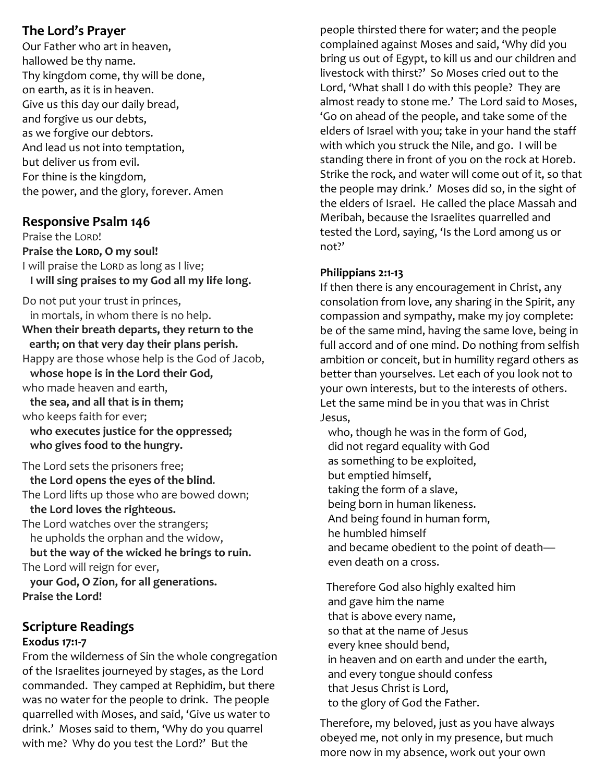## **The Lord's Prayer**

Our Father who art in heaven, hallowed be thy name. Thy kingdom come, thy will be done, on earth, as it is in heaven. Give us this day our daily bread, and forgive us our debts, as we forgive our debtors. And lead us not into temptation, but deliver us from evil. For thine is the kingdom, the power, and the glory, forever. Amen

## **Responsive Psalm 146**

Praise the LORD! **Praise the LORD, O my soul!** I will praise the LORD as long as I live; **I will sing praises to my God all my life long.**

Do not put your trust in princes, in mortals, in whom there is no help. **When their breath departs, they return to the earth; on that very day their plans perish.** Happy are those whose help is the God of Jacob, **whose hope is in the Lord their God,** who made heaven and earth,  **the sea, and all that is in them;** who keeps faith for ever;  **who executes justice for the oppressed; who gives food to the hungry.**

The Lord sets the prisoners free; **the Lord opens the eyes of the blind**. The Lord lifts up those who are bowed down; **the Lord loves the righteous.** The Lord watches over the strangers; he upholds the orphan and the widow, **but the way of the wicked he brings to ruin.** The Lord will reign for ever,  **your God, O Zion, for all generations. Praise the Lord!**

# **Scripture Readings**

#### **Exodus 17:1-7**

From the wilderness of Sin the whole congregation of the Israelites journeyed by stages, as the Lord commanded. They camped at Rephidim, but there was no water for the people to drink. The people quarrelled with Moses, and said, 'Give us water to drink.' Moses said to them, 'Why do you quarrel with me? Why do you test the Lord?' But the

people thirsted there for water; and the people complained against Moses and said, 'Why did you bring us out of Egypt, to kill us and our children and livestock with thirst?' So Moses cried out to the Lord, 'What shall I do with this people? They are almost ready to stone me.' The Lord said to Moses, 'Go on ahead of the people, and take some of the elders of Israel with you; take in your hand the staff with which you struck the Nile, and go. I will be standing there in front of you on the rock at Horeb. Strike the rock, and water will come out of it, so that the people may drink.' Moses did so, in the sight of the elders of Israel. He called the place Massah and Meribah, because the Israelites quarrelled and tested the Lord, saying, 'Is the Lord among us or not?'

### **Philippians 2:1-13**

If then there is any encouragement in Christ, any consolation from love, any sharing in the Spirit, any compassion and sympathy, make my joy complete: be of the same mind, having the same love, being in full accord and of one mind. Do nothing from selfish ambition or conceit, but in humility regard others as better than yourselves. Let each of you look not to your own interests, but to the interests of others. Let the same mind be in you that was in Christ Jesus,

 who, though he was in the form of God, did not regard equality with God as something to be exploited, but emptied himself, taking the form of a slave, being born in human likeness. And being found in human form, he humbled himself and became obedient to the point of death even death on a cross.

 Therefore God also highly exalted him and gave him the name that is above every name, so that at the name of Jesus every knee should bend, in heaven and on earth and under the earth, and every tongue should confess that Jesus Christ is Lord, to the glory of God the Father.

Therefore, my beloved, just as you have always obeyed me, not only in my presence, but much more now in my absence, work out your own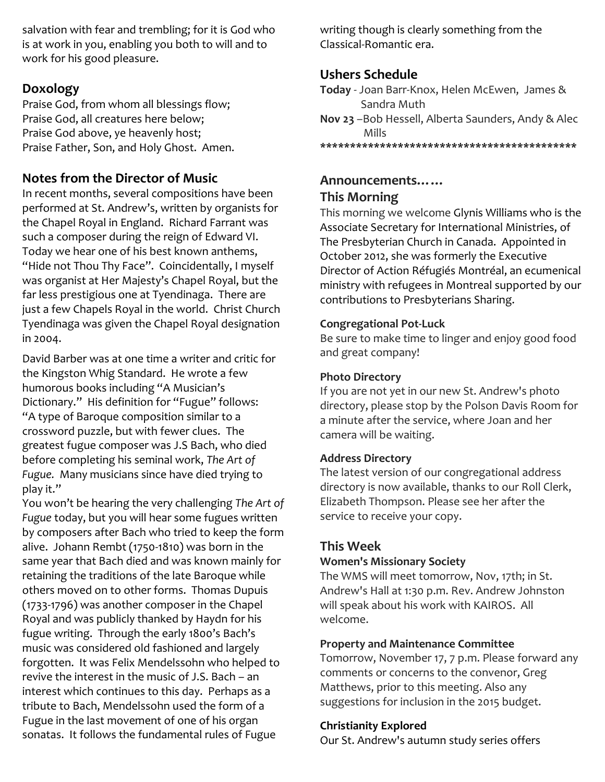salvation with fear and trembling; for it is God who is at work in you, enabling you both to will and to work for his good pleasure.

## **Doxology**

Praise God, from whom all blessings flow; Praise God, all creatures here below; Praise God above, ye heavenly host; Praise Father, Son, and Holy Ghost. Amen.

# **Notes from the Director of Music**

In recent months, several compositions have been performed at St. Andrew's, written by organists for the Chapel Royal in England. Richard Farrant was such a composer during the reign of Edward VI. Today we hear one of his best known anthems, "Hide not Thou Thy Face". Coincidentally, I myself was organist at Her Majesty's Chapel Royal, but the far less prestigious one at Tyendinaga. There are just a few Chapels Royal in the world. Christ Church Tyendinaga was given the Chapel Royal designation in 2004.

David Barber was at one time a writer and critic for the Kingston Whig Standard. He wrote a few humorous books including "A Musician's Dictionary." His definition for "Fugue" follows: "A type of Baroque composition similar to a crossword puzzle, but with fewer clues. The greatest fugue composer was J.S Bach, who died before completing his seminal work, *The Art of Fugue.* Many musicians since have died trying to play it."

You won't be hearing the very challenging *The Art of Fugue* today, but you will hear some fugues written by composers after Bach who tried to keep the form alive. Johann Rembt (1750-1810) was born in the same year that Bach died and was known mainly for retaining the traditions of the late Baroque while others moved on to other forms. Thomas Dupuis (1733-1796) was another composer in the Chapel Royal and was publicly thanked by Haydn for his fugue writing. Through the early 1800's Bach's music was considered old fashioned and largely forgotten. It was Felix Mendelssohn who helped to revive the interest in the music of J.S. Bach – an interest which continues to this day. Perhaps as a tribute to Bach, Mendelssohn used the form of a Fugue in the last movement of one of his organ sonatas. It follows the fundamental rules of Fugue

writing though is clearly something from the Classical-Romantic era.

# **Ushers Schedule**

**Today** - Joan Barr-Knox, Helen McEwen, James & Sandra Muth **Nov 23** –Bob Hessell, Alberta Saunders, Andy & Alec Mills

\*\*\*\*\*\*\*\*\*\*\*\*\*\*\*\*\*\*\*\*\*\*\*\*\*\*\*\*\*\*\*\*\*\*\*\*\*\*\*\*\*\*\*

# **Announcements…… This Morning**

This morning we welcome Glynis Williams who is the Associate Secretary for International Ministries, of The Presbyterian Church in Canada. Appointed in October 2012, she was formerly the Executive Director of Action Réfugiés Montréal, an ecumenical ministry with refugees in Montreal supported by our contributions to Presbyterians Sharing.

## **Congregational Pot-Luck**

Be sure to make time to linger and enjoy good food and great company!

## **Photo Directory**

If you are not yet in our new St. Andrew's photo directory, please stop by the Polson Davis Room for a minute after the service, where Joan and her camera will be waiting.

## **Address Directory**

The latest version of our congregational address directory is now available, thanks to our Roll Clerk, Elizabeth Thompson. Please see her after the service to receive your copy.

# **This Week**

## **Women's Missionary Society**

The WMS will meet tomorrow, Nov, 17th; in St. Andrew's Hall at 1:30 p.m. Rev. Andrew Johnston will speak about his work with KAIROS. All welcome.

### **Property and Maintenance Committee**

Tomorrow, November 17, 7 p.m. Please forward any comments or concerns to the convenor, Greg Matthews, prior to this meeting. Also any suggestions for inclusion in the 2015 budget.

## **Christianity Explored**

Our St. Andrew's autumn study series offers